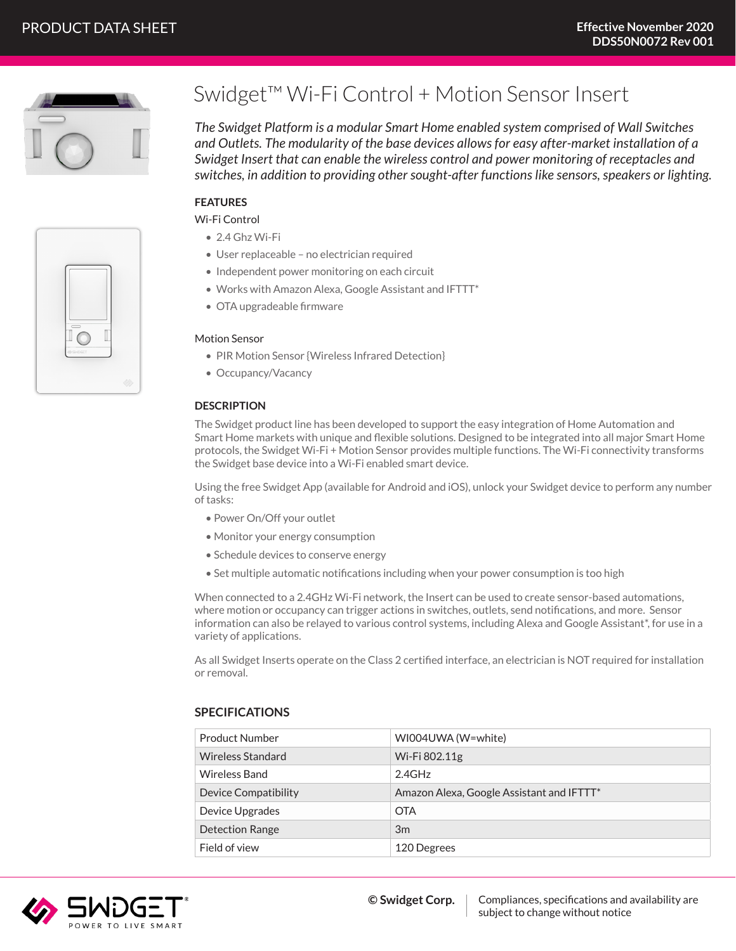

# Swidget™ Wi-Fi Control + Motion Sensor Insert

*The Swidget Platform is a modular Smart Home enabled system comprised of Wall Switches and Outlets. The modularity of the base devices allows for easy after-market installation of a Swidget Insert that can enable the wireless control and power monitoring of receptacles and switches, in addition to providing other sought-after functions like sensors, speakers or lighting.*

## **FEATURES**

Wi-Fi Control

- 2.4 Ghz Wi-Fi
- User replaceable no electrician required
- Independent power monitoring on each circuit
- Works with Amazon Alexa, Google Assistant and IFTTT\*
- OTA upgradeable firmware

#### Motion Sensor

- PIR Motion Sensor {Wireless Infrared Detection}
- Occupancy/Vacancy

#### **DESCRIPTION**

The Swidget product line has been developed to support the easy integration of Home Automation and Smart Home markets with unique and flexible solutions. Designed to be integrated into all major Smart Home protocols, the Swidget Wi-Fi + Motion Sensor provides multiple functions. The Wi-Fi connectivity transforms the Swidget base device into a Wi-Fi enabled smart device.

Using the free Swidget App (available for Android and iOS), unlock your Swidget device to perform any number of tasks:

- Power On/Off your outlet
- Monitor your energy consumption
- Schedule devices to conserve energy
- Set multiple automatic notifications including when your power consumption is too high

When connected to a 2.4GHz Wi-Fi network, the Insert can be used to create sensor-based automations, where motion or occupancy can trigger actions in switches, outlets, send notifications, and more. Sensor information can also be relayed to various control systems, including Alexa and Google Assistant\*, for use in a variety of applications.

As all Swidget Inserts operate on the Class 2 certified interface, an electrician is NOT required for installation or removal.

| <b>Product Number</b>    | WI004UWA (W=white)                        |
|--------------------------|-------------------------------------------|
| <b>Wireless Standard</b> | Wi-Fi 802.11g                             |
| <b>Wireless Band</b>     | 2.4GHz                                    |
| Device Compatibility     | Amazon Alexa, Google Assistant and IFTTT* |
| Device Upgrades          | <b>OTA</b>                                |
| <b>Detection Range</b>   | 3m                                        |
| Field of view            | 120 Degrees                               |
|                          |                                           |

### **SPECIFICATIONS**